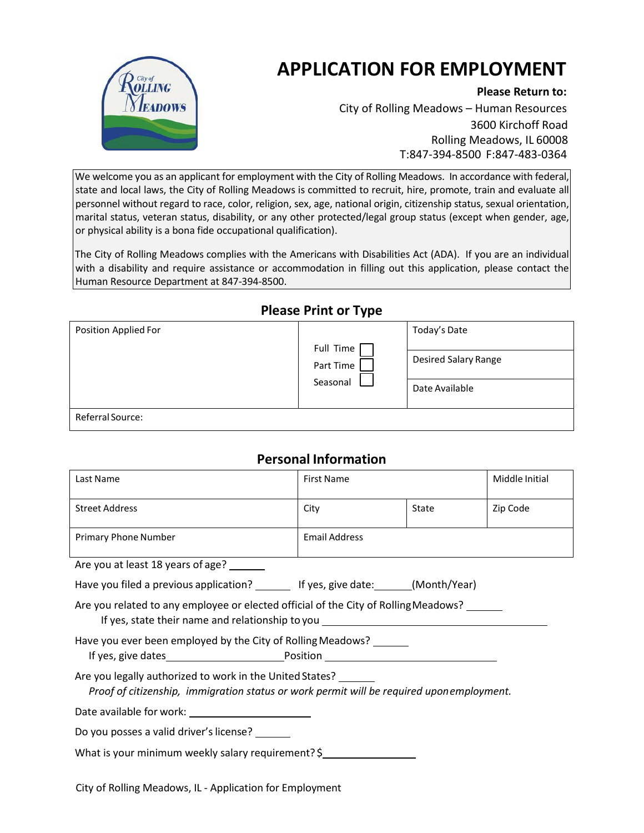

# **APPLICATION FOR EMPLOYMENT**

#### **Please Return to:**

City of Rolling Meadows – Human Resources 3600 Kirchoff Road Rolling Meadows, IL 60008 T:847-394-8500 F:847-483-0364

We welcome you as an applicant for employment with the City of Rolling Meadows. In accordance with federal, state and local laws, the City of Rolling Meadows is committed to recruit, hire, promote, train and evaluate all personnel without regard to race, color, religion, sex, age, national origin, citizenship status, sexual orientation, marital status, veteran status, disability, or any other protected/legal group status (except when gender, age, or physical ability is a bona fide occupational qualification).

The City of Rolling Meadows complies with the Americans with Disabilities Act (ADA). If you are an individual with a disability and require assistance or accommodation in filling out this application, please contact the Human Resource Department at 847-394-8500.

## **Please Print or Type**

| Position Applied For |                                    | Today's Date                                  |
|----------------------|------------------------------------|-----------------------------------------------|
|                      | Full Time<br>Part Time<br>Seasonal | <b>Desired Salary Range</b><br>Date Available |
| Referral Source:     |                                    |                                               |

## **Personal Information**

| Last Name                                                                                                                                                               | <b>First Name</b>    |       | Middle Initial |  |  |
|-------------------------------------------------------------------------------------------------------------------------------------------------------------------------|----------------------|-------|----------------|--|--|
|                                                                                                                                                                         |                      |       |                |  |  |
| <b>Street Address</b>                                                                                                                                                   | City                 | State | Zip Code       |  |  |
| Primary Phone Number                                                                                                                                                    | <b>Email Address</b> |       |                |  |  |
| Are you at least 18 years of age?                                                                                                                                       |                      |       |                |  |  |
| Have you filed a previous application? ________ If yes, give date: ______(Month/Year)                                                                                   |                      |       |                |  |  |
| Are you related to any employee or elected official of the City of Rolling Meadows?<br>If yes, state their name and relationship to you _______________________________ |                      |       |                |  |  |
| Have you ever been employed by the City of Rolling Meadows?                                                                                                             |                      |       |                |  |  |
| Are you legally authorized to work in the United States?<br>Proof of citizenship, immigration status or work permit will be required uponemployment.                    |                      |       |                |  |  |
|                                                                                                                                                                         |                      |       |                |  |  |
| Do you posses a valid driver's license? _______                                                                                                                         |                      |       |                |  |  |
| What is your minimum weekly salary requirement? \$                                                                                                                      |                      |       |                |  |  |

City of Rolling Meadows, IL - Application for Employment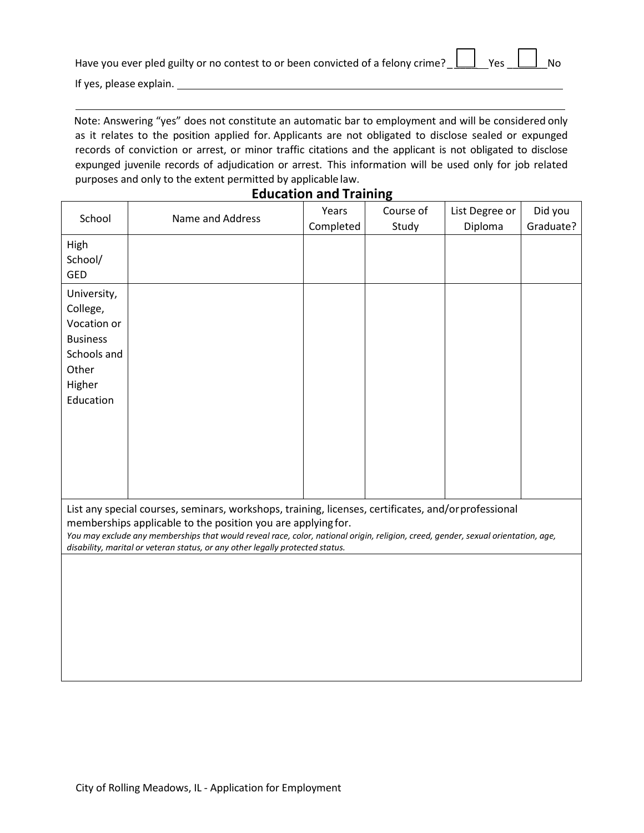|                                                                                                                                                                                                                                 | Have you ever pled guilty or no contest to or been convicted of a felony crime? $\boxed{\underline{\qquad}}$ Yes $\boxed{\underline{\qquad}}$ No |  |  |  |  |  |
|---------------------------------------------------------------------------------------------------------------------------------------------------------------------------------------------------------------------------------|--------------------------------------------------------------------------------------------------------------------------------------------------|--|--|--|--|--|
| $\sim$ . The contract of the contract of the contract of the contract of the contract of the contract of the contract of the contract of the contract of the contract of the contract of the contract of the contract of the co |                                                                                                                                                  |  |  |  |  |  |

If yes, please explain.

Note: Answering "yes" does not constitute an automatic bar to employment and will be considered only as it relates to the position applied for. Applicants are not obligated to disclose sealed or expunged records of conviction or arrest, or minor traffic citations and the applicant is not obligated to disclose expunged juvenile records of adjudication or arrest. This information will be used only for job related purposes and only to the extent permitted by applicable law.

#### **Education and Training**

| School                                                                                                   | Name and Address                                                                                                                                                                                                                                                                                                                                                                          | Years<br>Completed | Course of<br>Study | List Degree or<br>Diploma | Did you<br>Graduate? |
|----------------------------------------------------------------------------------------------------------|-------------------------------------------------------------------------------------------------------------------------------------------------------------------------------------------------------------------------------------------------------------------------------------------------------------------------------------------------------------------------------------------|--------------------|--------------------|---------------------------|----------------------|
| High<br>School/<br><b>GED</b>                                                                            |                                                                                                                                                                                                                                                                                                                                                                                           |                    |                    |                           |                      |
| University,<br>College,<br>Vocation or<br><b>Business</b><br>Schools and<br>Other<br>Higher<br>Education |                                                                                                                                                                                                                                                                                                                                                                                           |                    |                    |                           |                      |
|                                                                                                          | List any special courses, seminars, workshops, training, licenses, certificates, and/orprofessional<br>memberships applicable to the position you are applying for.<br>You may exclude any memberships that would reveal race, color, national origin, religion, creed, gender, sexual orientation, age,<br>disability, marital or veteran status, or any other legally protected status. |                    |                    |                           |                      |
|                                                                                                          |                                                                                                                                                                                                                                                                                                                                                                                           |                    |                    |                           |                      |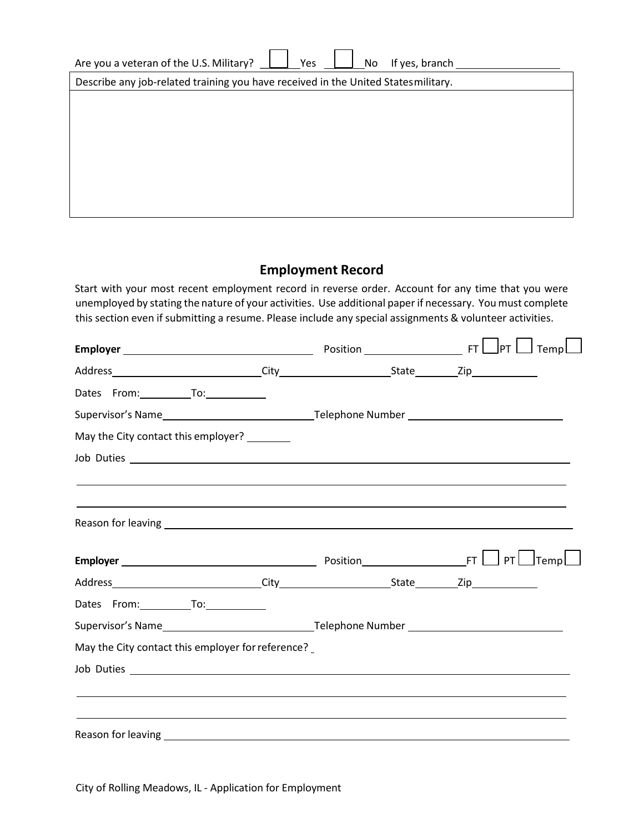| Are you a veteran of the U.S. Military?<br>If yes, branch<br>Yes<br>No            |  |  |  |  |  |
|-----------------------------------------------------------------------------------|--|--|--|--|--|
| Describe any job-related training you have received in the United Statesmilitary. |  |  |  |  |  |
|                                                                                   |  |  |  |  |  |
|                                                                                   |  |  |  |  |  |
|                                                                                   |  |  |  |  |  |
|                                                                                   |  |  |  |  |  |
|                                                                                   |  |  |  |  |  |
|                                                                                   |  |  |  |  |  |
|                                                                                   |  |  |  |  |  |

#### **Employment Record**

Start with your most recent employment record in reverse order. Account for any time that you were unemployed by stating the nature of your activities. Use additional paperif necessary. Youmust complete this section even if submitting a resume. Please include any special assignments & volunteer activities.

|                                                   |                                                                                  | $\mathsf{J}$ PT $\mathsf{L} \mathsf{J}$ Temp $\mathsf{L} \mathsf{J}$ |
|---------------------------------------------------|----------------------------------------------------------------------------------|----------------------------------------------------------------------|
|                                                   |                                                                                  |                                                                      |
| Dates From: To: To:                               |                                                                                  |                                                                      |
|                                                   |                                                                                  |                                                                      |
| May the City contact this employer? ________      |                                                                                  |                                                                      |
|                                                   |                                                                                  |                                                                      |
|                                                   |                                                                                  |                                                                      |
|                                                   |                                                                                  |                                                                      |
|                                                   |                                                                                  |                                                                      |
|                                                   |                                                                                  |                                                                      |
| Dates From: To: To:                               |                                                                                  |                                                                      |
|                                                   |                                                                                  |                                                                      |
| May the City contact this employer for reference? |                                                                                  |                                                                      |
|                                                   |                                                                                  |                                                                      |
|                                                   | ,我们也不会有什么。""我们的人,我们也不会有什么?""我们的人,我们也不会有什么?""我们的人,我们也不会有什么?""我们的人,我们也不会有什么?""我们的人 |                                                                      |
|                                                   |                                                                                  |                                                                      |
|                                                   |                                                                                  |                                                                      |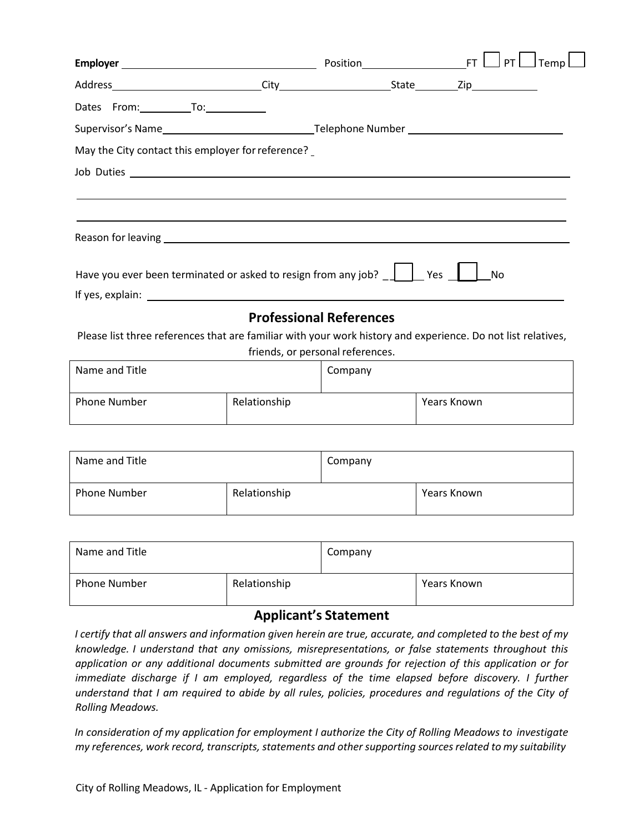|                                                                                                                |                                  | $\sf J$ Temp $\sf L$<br>PT |  |  |
|----------------------------------------------------------------------------------------------------------------|----------------------------------|----------------------------|--|--|
|                                                                                                                |                                  |                            |  |  |
| Dates From: To: To:                                                                                            |                                  |                            |  |  |
|                                                                                                                |                                  |                            |  |  |
| May the City contact this employer for reference?                                                              |                                  |                            |  |  |
| Job Duties                                                                                                     |                                  |                            |  |  |
|                                                                                                                |                                  |                            |  |  |
|                                                                                                                |                                  |                            |  |  |
| Reason for leaving example and the contract of the contract of the contract of the contract of the contract of |                                  |                            |  |  |
| Have you ever been terminated or asked to resign from any job? $\Box$                                          | Yes                              | No                         |  |  |
|                                                                                                                | <b>Professional References</b>   |                            |  |  |
| Please list three references that are familiar with your work history and experience. Do not list relatives,   |                                  |                            |  |  |
|                                                                                                                | friends, or personal references. |                            |  |  |

| Name and Title      |              | Company |             |
|---------------------|--------------|---------|-------------|
| <b>Phone Number</b> | Relationship |         | Years Known |

| Name and Title |              | Company |             |
|----------------|--------------|---------|-------------|
| Phone Number   | Relationship |         | Years Known |

| Name and Title      |              | Company |             |
|---------------------|--------------|---------|-------------|
| <b>Phone Number</b> | Relationship |         | Years Known |

## **Applicant's Statement**

I certify that all answers and information given herein are true, accurate, and completed to the best of my *knowledge. I understand that any omissions, misrepresentations, or false statements throughout this application or any additional documents submitted are grounds for rejection of this application or for immediate discharge if I am employed, regardless of the time elapsed before discovery. I further understand that I am required to abide by all rules, policies, procedures and regulations of the City of Rolling Meadows.*

*In consideration of my application for employment I authorize the City of Rolling Meadows to investigate my references, work record, transcripts, statements and other supporting sourcesrelated to my suitability*